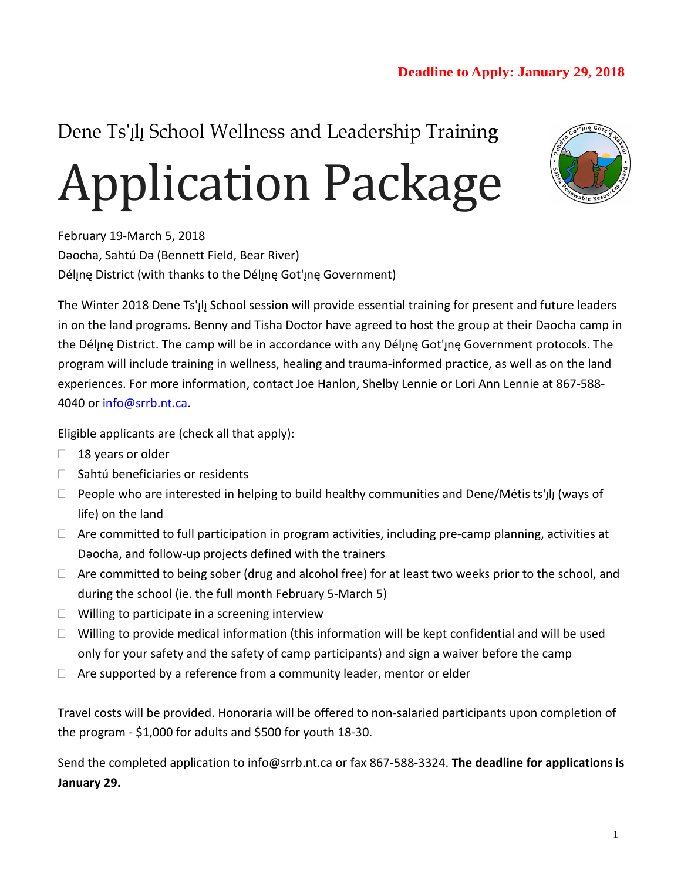## Dene Ts'<sub>I</sub>l<sub>l</sub> School Wellness and Leadership Training

# Application Package



February 19-March 5, 2018 Dǝocha, Sahtú Dǝ (Bennett Field, Bear River) Déljnę District (with thanks to the Déljnę Got'ınę Government)

The Winter 2018 Dene Ts'<sub>l</sub>l<sub>l</sub> School session will provide essential training for present and future leaders in on the land programs. Benny and Tisha Doctor have agreed to host the group at their Daocha camp in the Délune District. The camp will be in accordance with any Délune Got'une Government protocols. The program will include training in wellness, healing and trauma-informed practice, as well as on the land experiences. For more information, contact Joe Hanlon, Shelby Lennie or Lori Ann Lennie at 867-588- 4040 or [info@srrb.nt.ca.](mailto:info@srrb.nt.ca)

Eligible applicants are (check all that apply):

- $\Box$  18 years or older
- $\Box$  Sahtú beneficiaries or residents
- $\Box$  People who are interested in helping to build healthy communities and Dene/Métis ts'<sub>I</sub>II (ways of life) on the land
- $\Box$  Are committed to full participation in program activities, including pre-camp planning, activities at Dǝocha, and follow-up projects defined with the trainers
- $\Box$  Are committed to being sober (drug and alcohol free) for at least two weeks prior to the school, and during the school (ie. the full month February 5-March 5)
- $\Box$  Willing to participate in a screening interview
- $\Box$  Willing to provide medical information (this information will be kept confidential and will be used only for your safety and the safety of camp participants) and sign a waiver before the camp
- $\Box$  Are supported by a reference from a community leader, mentor or elder

Travel costs will be provided. Honoraria will be offered to non-salaried participants upon completion of the program - \$1,000 for adults and \$500 for youth 18-30.

Send the completed application to info@srrb.nt.ca or fax 867-588-3324. **The deadline for applications is January 29.**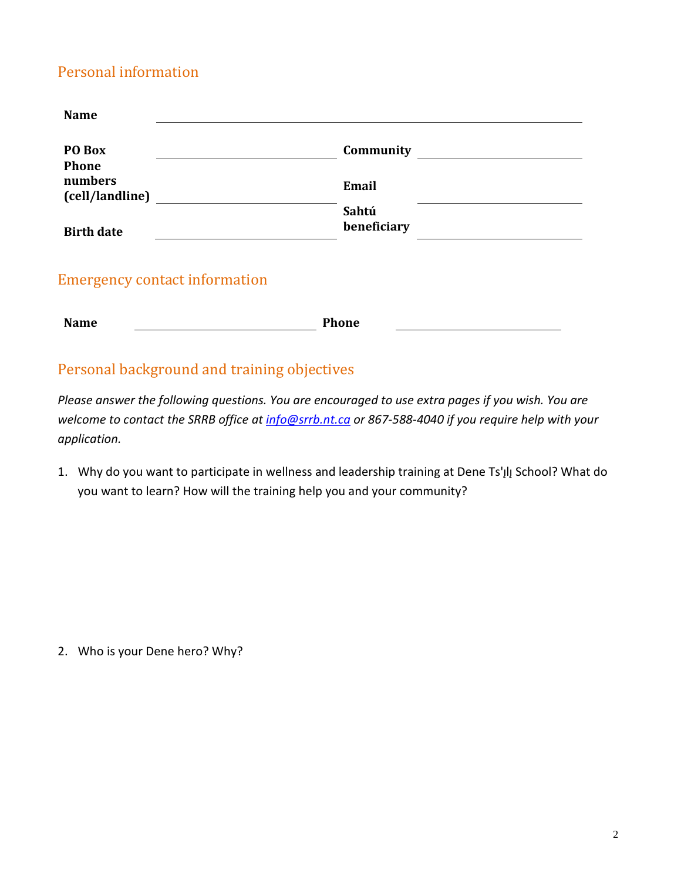### Personal information

| <b>Name</b>       |             |
|-------------------|-------------|
|                   |             |
| PO Box            | Community   |
| <b>Phone</b>      |             |
| numbers           | Email       |
| (cell/landline)   |             |
|                   | Sahtú       |
| <b>Birth date</b> | beneficiary |
|                   |             |
|                   |             |

#### Emergency contact information

| <b>Name</b> | Phone<br>$ -$ |  |
|-------------|---------------|--|
|             |               |  |

#### Personal background and training objectives

*Please answer the following questions. You are encouraged to use extra pages if you wish. You are welcome to contact the SRRB office at [info@srrb.nt.ca](mailto:info@srrb.nt.ca) or 867-588-4040 if you require help with your application.*

1. Why do you want to participate in wellness and leadership training at Dene Ts'll School? What do you want to learn? How will the training help you and your community?

2. Who is your Dene hero? Why?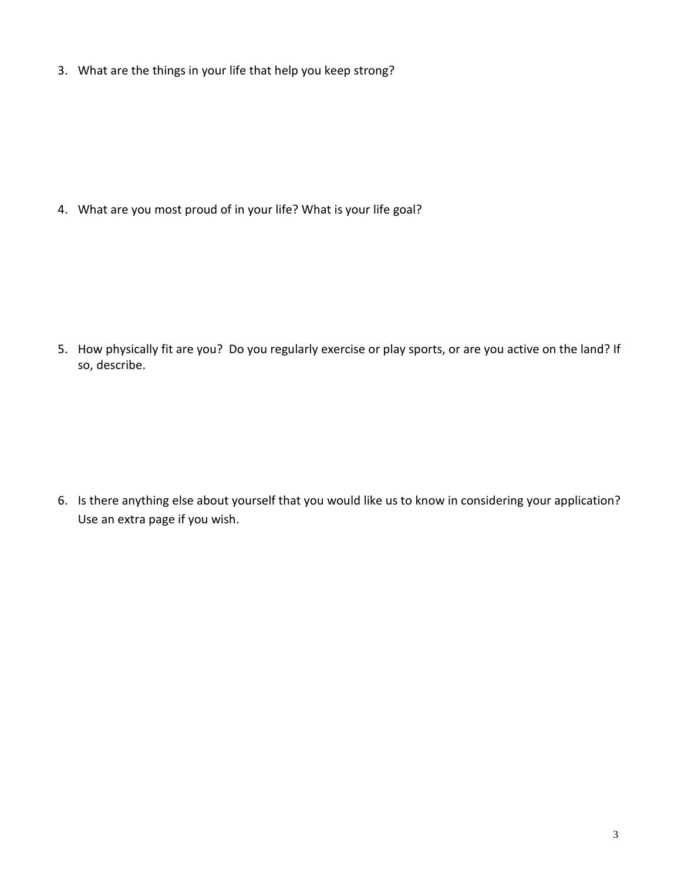3. What are the things in your life that help you keep strong?

4. What are you most proud of in your life? What is your life goal?

5. How physically fit are you? Do you regularly exercise or play sports, or are you active on the land? If so, describe.

6. Is there anything else about yourself that you would like us to know in considering your application? Use an extra page if you wish.